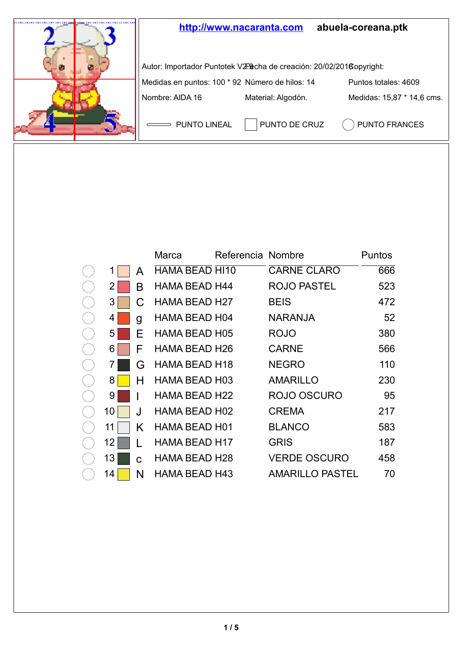

|    |    | Marca                | Referencia Nombre |                     | Puntos |
|----|----|----------------------|-------------------|---------------------|--------|
| 1  | A  | HAMA BEAD HI10       |                   | <b>CARNE CLARO</b>  | 666    |
| 2  | В  | <b>HAMA BEAD H44</b> |                   | ROJO PASTEL         | 523    |
| 3  | С  | <b>HAMA BEAD H27</b> |                   | <b>BEIS</b>         | 472    |
| 4  | g  | HAMA BEAD H04        |                   | NARANJA             | 52     |
| 5  | E  | <b>HAMA BEAD H05</b> |                   | ROJO                | 380    |
| 6  | F  | HAMA BEAD H26        |                   | <b>CARNE</b>        | 566    |
| 7  | G  | <b>HAMA BEAD H18</b> |                   | <b>NEGRO</b>        | 110    |
| 8  | н  | HAMA BEAD H03        |                   | <b>AMARILLO</b>     | 230    |
| 9  |    | HAMA BEAD H22        |                   | ROJO OSCURO         | 95     |
| 10 | J. | <b>HAMA BEAD H02</b> |                   | <b>CREMA</b>        | 217    |
| 11 | Κ  | HAMA BEAD H01        |                   | <b>BLANCO</b>       | 583    |
| 12 |    | <b>HAMA BEAD H17</b> |                   | <b>GRIS</b>         | 187    |
| 13 | C. | <b>HAMA BEAD H28</b> |                   | <b>VERDE OSCURO</b> | 458    |
| 14 | N  | HAMA BEAD H43        |                   | AMARILLO PASTEL     | 70     |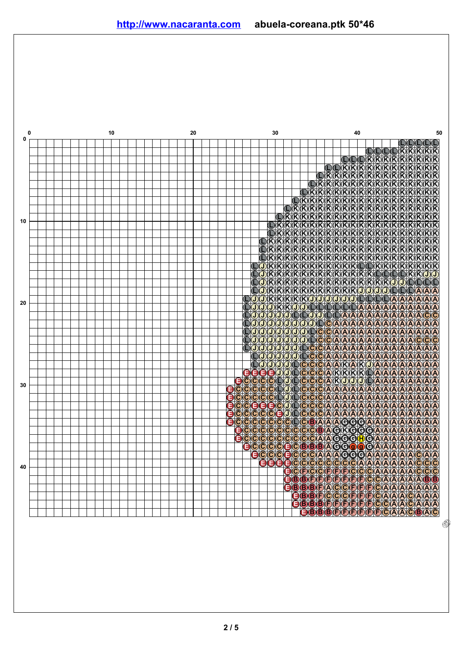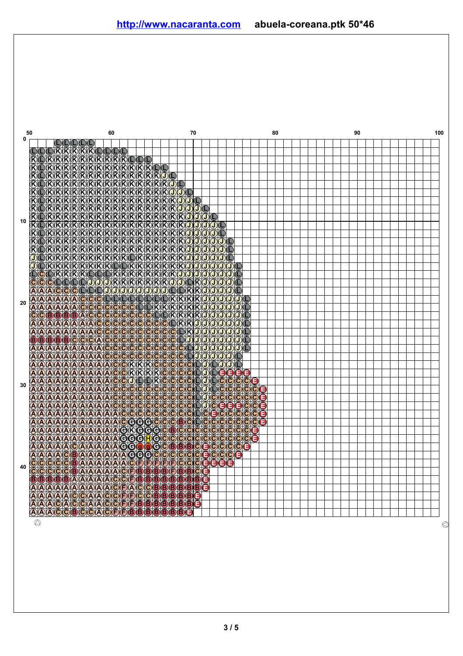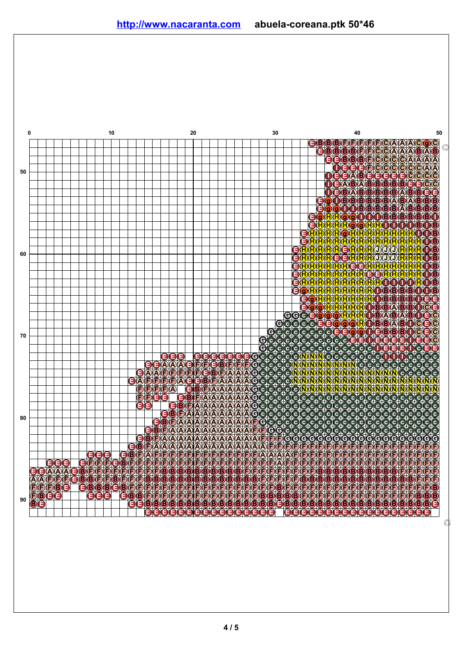